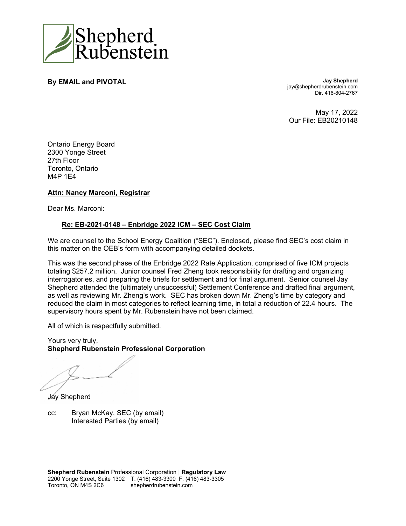

**By EMAIL and PIVOTAL General Accord PIVOTAL Jay Shepherd** 

jay@shepherdrubenstein.com Dir. 416-804-2767

May 17, 2022 Our File: EB20210148

Ontario Energy Board 2300 Yonge Street 27th Floor Toronto, Ontario M4P 1E4

## **Attn: Nancy Marconi, Registrar**

Dear Ms. Marconi:

#### **Re: EB-2021-0148 – Enbridge 2022 ICM – SEC Cost Claim**

We are counsel to the School Energy Coalition ("SEC"). Enclosed, please find SEC's cost claim in this matter on the OEB's form with accompanying detailed dockets.

This was the second phase of the Enbridge 2022 Rate Application, comprised of five ICM projects totaling \$257.2 million. Junior counsel Fred Zheng took responsibility for drafting and organizing interrogatories, and preparing the briefs for settlement and for final argument. Senior counsel Jay Shepherd attended the (ultimately unsuccessful) Settlement Conference and drafted final argument, as well as reviewing Mr. Zheng's work. SEC has broken down Mr. Zheng's time by category and reduced the claim in most categories to reflect learning time, in total a reduction of 22.4 hours. The supervisory hours spent by Mr. Rubenstein have not been claimed.

All of which is respectfully submitted.

Yours very truly, **Shepherd Rubenstein Professional Corporation** 

Jay Shepherd

cc: Bryan McKay, SEC (by email) Interested Parties (by email)

**Shepherd Rubenstein** Professional Corporation | **Regulatory Law** 2200 Yonge Street, Suite 1302 T. (416) 483-3300 F. (416) 483-3305 Toronto, ON M4S 2C6 shepherdrubenstein.com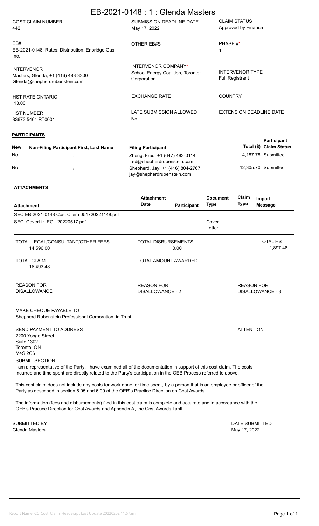| EB-2021-0148 : 1 : Glenda Masters                                                        |                                                                         |                                                  |  |  |  |  |  |  |
|------------------------------------------------------------------------------------------|-------------------------------------------------------------------------|--------------------------------------------------|--|--|--|--|--|--|
| <b>COST CLAIM NUMBER</b><br>442                                                          | SUBMISSION DEADLINE DATE<br>May 17, 2022                                | <b>CLAIM STATUS</b><br>Approved by Finance       |  |  |  |  |  |  |
| EB#<br>EB-2021-0148: Rates: Distribution: Enbridge Gas<br>Inc.                           | OTHER EB#S                                                              | PHASE #*                                         |  |  |  |  |  |  |
| <b>INTERVENOR</b><br>Masters, Glenda; +1 (416) 483-3300<br>Glenda@shepherdrubenstein.com | INTERVENOR COMPANY*<br>School Energy Coalition, Toronto:<br>Corporation | <b>INTERVENOR TYPE</b><br><b>Full Registrant</b> |  |  |  |  |  |  |
| <b>HST RATE ONTARIO</b><br>13.00                                                         | <b>EXCHANGE RATE</b>                                                    | <b>COUNTRY</b>                                   |  |  |  |  |  |  |
| <b>HST NUMBER</b><br>83673 5464 RT0001                                                   | LATE SUBMISSION ALLOWED<br>No                                           | EXTENSION DEADLINE DATE                          |  |  |  |  |  |  |

#### **PARTICIPANTS**

| <b>New</b>     | <b>Non-Filing Participant First, Last Name</b> | <b>Filing Participant</b>                                      | <b>Participant</b><br>Total (\$) Claim Status |
|----------------|------------------------------------------------|----------------------------------------------------------------|-----------------------------------------------|
| N <sub>0</sub> |                                                | Zheng, Fred; +1 (647) 483-0114<br>fred@shepherdrubenstein.com  | 4,187.78 Submitted                            |
| N <sub>0</sub> |                                                | Shepherd, Jay; +1 (416) 804-2767<br>jay@shepherdrubenstein.com | 12.305.70 Submitted                           |

## **ATTACHMENTS**

|                                                                                                                      | <b>Attachment</b>                            |             | <b>Document</b> | Claim<br><b>Type</b> | Import                       |
|----------------------------------------------------------------------------------------------------------------------|----------------------------------------------|-------------|-----------------|----------------------|------------------------------|
| <b>Attachment</b>                                                                                                    | <b>Date</b>                                  | Participant | <b>Type</b>     |                      | <b>Message</b>               |
| SEC EB-2021-0148 Cost Claim 051720221148.pdf                                                                         |                                              |             |                 |                      |                              |
| SEC_CoverLtr_EGI_20220517.pdf                                                                                        |                                              |             | Cover<br>Letter |                      |                              |
| TOTAL LEGAL/CONSULTANT/OTHER FEES<br>14,596.00                                                                       | <b>TOTAL DISBURSEMENTS</b>                   | 0.00        |                 |                      | <b>TOTAL HST</b><br>1,897.48 |
| <b>TOTAL CLAIM</b><br>16,493.48                                                                                      | TOTAL AMOUNT AWARDED                         |             |                 |                      |                              |
| <b>REASON FOR</b><br><b>DISALLOWANCE</b>                                                                             | <b>REASON FOR</b><br><b>DISALLOWANCE - 2</b> |             |                 | <b>REASON FOR</b>    | <b>DISALLOWANCE - 3</b>      |
| MAKE CHEQUE PAYABLE TO<br>Shepherd Rubenstein Professional Corporation, in Trust                                     |                                              |             |                 |                      |                              |
| SEND PAYMENT TO ADDRESS<br>2200 Yonge Street<br><b>Suite 1302</b><br>Toronto, ON<br>M4S 2C6<br><b>SUBMIT SECTION</b> |                                              |             |                 | <b>ATTENTION</b>     |                              |

I am a representative of the Party. I have examined all of the documentation in support of this cost claim. The costs incurred and time spent are directly related to the Party's participation in the OEB Process referred to above.

This cost claim does not include any costs for work done, or time spent, by a person that is an employee or officer of the Party as described in section 6.05 and 6.09 of the OEB's Practice Direction on Cost Awards.

The information (fees and disbursements) filed in this cost claim is complete and accurate and in accordance with the OEB's Practice Direction for Cost Awards and Appendix A, the Cost Awards Tariff.

Glenda Masters May 17, 2022

SUBMITTED BY DATE SUBMITTED BY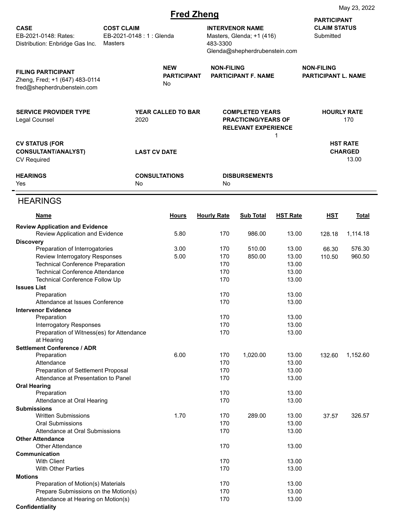|                                                                                            |                                                         |      |                                        | <b>Fred Zheng</b>  |                                                                                      |                                                          | iviay zu, zuzz                                         |                           |  |  |
|--------------------------------------------------------------------------------------------|---------------------------------------------------------|------|----------------------------------------|--------------------|--------------------------------------------------------------------------------------|----------------------------------------------------------|--------------------------------------------------------|---------------------------|--|--|
| <b>CASE</b><br>EB-2021-0148: Rates:<br>Distribution: Enbridge Gas Inc.                     | <b>COST CLAIM</b><br>EB-2021-0148: 1: Glenda<br>Masters |      |                                        | 483-3300           | <b>INTERVENOR NAME</b><br>Masters, Glenda; +1 (416)<br>Glenda@shepherdrubenstein.com |                                                          | <b>PARTICIPANT</b><br><b>CLAIM STATUS</b><br>Submitted |                           |  |  |
| <b>FILING PARTICIPANT</b><br>Zheng, Fred; +1 (647) 483-0114<br>fred@shepherdrubenstein.com |                                                         |      | <b>NEW</b><br><b>PARTICIPANT</b><br>No | <b>NON-FILING</b>  | <b>PARTICIPANT F. NAME</b>                                                           |                                                          | <b>NON-FILING</b><br><b>PARTICIPANT L. NAME</b>        |                           |  |  |
| <b>SERVICE PROVIDER TYPE</b><br>Legal Counsel                                              |                                                         | 2020 | <b>YEAR CALLED TO BAR</b>              |                    | <b>COMPLETED YEARS</b>                                                               | <b>PRACTICING/YEARS OF</b><br><b>RELEVANT EXPERIENCE</b> |                                                        | <b>HOURLY RATE</b><br>170 |  |  |
| <b>CV STATUS (FOR</b><br><b>CONSULTANT/ANALYST)</b><br><b>CV Required</b>                  | 1<br><b>LAST CV DATE</b>                                |      |                                        |                    | <b>HST RATE</b><br><b>CHARGED</b><br>13.00                                           |                                                          |                                                        |                           |  |  |
| <b>HEARINGS</b><br>Yes                                                                     |                                                         | No   | <b>CONSULTATIONS</b>                   | No                 | <b>DISBURSEMENTS</b>                                                                 |                                                          |                                                        |                           |  |  |
| <b>HEARINGS</b>                                                                            |                                                         |      |                                        |                    |                                                                                      |                                                          |                                                        |                           |  |  |
| <b>Name</b>                                                                                |                                                         |      | <b>Hours</b>                           | <b>Hourly Rate</b> | <b>Sub Total</b>                                                                     | <b>HST Rate</b>                                          | <b>HST</b>                                             | <b>Total</b>              |  |  |
| <b>Review Application and Evidence</b><br>Review Application and Evidence                  |                                                         |      | 5.80                                   | 170                | 986.00                                                                               | 13.00                                                    | 128.18                                                 | 1,114.18                  |  |  |
| <b>Discovery</b>                                                                           |                                                         |      |                                        |                    |                                                                                      |                                                          |                                                        |                           |  |  |
| Preparation of Interrogatories                                                             |                                                         |      | 3.00                                   | 170                | 510.00                                                                               | 13.00                                                    | 66.30                                                  | 576.30                    |  |  |
| Review Interrogatory Responses                                                             |                                                         |      | 5.00                                   | 170                | 850.00                                                                               | 13.00                                                    | 110.50                                                 | 960.50                    |  |  |
| <b>Technical Conference Preparation</b><br><b>Technical Conference Attendance</b>          |                                                         |      |                                        | 170<br>170         |                                                                                      | 13.00<br>13.00                                           |                                                        |                           |  |  |
| Technical Conference Follow Up                                                             |                                                         |      |                                        | 170                |                                                                                      | 13.00                                                    |                                                        |                           |  |  |
| <b>Issues List</b>                                                                         |                                                         |      |                                        |                    |                                                                                      |                                                          |                                                        |                           |  |  |
| Preparation                                                                                |                                                         |      |                                        | 170                |                                                                                      | 13.00                                                    |                                                        |                           |  |  |
| Attendance at Issues Conference                                                            |                                                         |      |                                        | 170                |                                                                                      | 13.00                                                    |                                                        |                           |  |  |
| <b>Intervenor Evidence</b><br>Preparation                                                  |                                                         |      |                                        | 170                |                                                                                      | 13.00                                                    |                                                        |                           |  |  |
| <b>Interrogatory Responses</b>                                                             |                                                         |      |                                        | 170                |                                                                                      | 13.00                                                    |                                                        |                           |  |  |
| Preparation of Witness(es) for Attendance<br>at Hearing                                    |                                                         |      |                                        | 170                |                                                                                      | 13.00                                                    |                                                        |                           |  |  |
| <b>Settlement Conference / ADR</b><br>Preparation                                          |                                                         |      | 6.00                                   | 170                | 1,020.00                                                                             | 13.00                                                    | 132.60                                                 | 1,152.60                  |  |  |
| Attendance                                                                                 |                                                         |      |                                        | 170                |                                                                                      | 13.00                                                    |                                                        |                           |  |  |
| Preparation of Settlement Proposal                                                         |                                                         |      |                                        | 170                |                                                                                      | 13.00                                                    |                                                        |                           |  |  |
| Attendance at Presentation to Panel                                                        |                                                         |      |                                        | 170                |                                                                                      | 13.00                                                    |                                                        |                           |  |  |
| <b>Oral Hearing</b>                                                                        |                                                         |      |                                        |                    |                                                                                      |                                                          |                                                        |                           |  |  |
| Preparation<br>Attendance at Oral Hearing                                                  |                                                         |      |                                        | 170<br>170         |                                                                                      | 13.00<br>13.00                                           |                                                        |                           |  |  |
| <b>Submissions</b>                                                                         |                                                         |      |                                        |                    |                                                                                      |                                                          |                                                        |                           |  |  |
| <b>Written Submissions</b>                                                                 |                                                         |      | 1.70                                   | 170                | 289.00                                                                               | 13.00                                                    | 37.57                                                  | 326.57                    |  |  |
| <b>Oral Submissions</b>                                                                    |                                                         |      |                                        | 170                |                                                                                      | 13.00                                                    |                                                        |                           |  |  |
| Attendance at Oral Submissions<br><b>Other Attendance</b>                                  |                                                         |      |                                        | 170                |                                                                                      | 13.00                                                    |                                                        |                           |  |  |
| <b>Other Attendance</b>                                                                    |                                                         |      |                                        | 170                |                                                                                      | 13.00                                                    |                                                        |                           |  |  |
| Communication                                                                              |                                                         |      |                                        |                    |                                                                                      |                                                          |                                                        |                           |  |  |
| <b>With Client</b>                                                                         |                                                         |      |                                        | 170                |                                                                                      | 13.00                                                    |                                                        |                           |  |  |
| <b>With Other Parties</b><br><b>Motions</b>                                                |                                                         |      |                                        | 170                |                                                                                      | 13.00                                                    |                                                        |                           |  |  |
| Preparation of Motion(s) Materials                                                         |                                                         |      |                                        | 170                |                                                                                      | 13.00                                                    |                                                        |                           |  |  |
| Prepare Submissions on the Motion(s)                                                       |                                                         |      |                                        | 170                |                                                                                      | 13.00                                                    |                                                        |                           |  |  |
| Attendance at Hearing on Motion(s)                                                         |                                                         |      |                                        | 170                |                                                                                      | 13.00                                                    |                                                        |                           |  |  |
| Confidentiality                                                                            |                                                         |      |                                        |                    |                                                                                      |                                                          |                                                        |                           |  |  |

May 23, 2022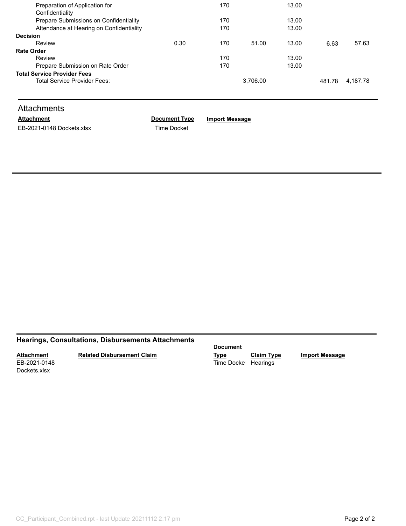| Preparation of Application for           |      | 170 |          | 13.00 |        |          |
|------------------------------------------|------|-----|----------|-------|--------|----------|
| Confidentiality                          |      |     |          |       |        |          |
| Prepare Submissions on Confidentiality   |      | 170 |          | 13.00 |        |          |
| Attendance at Hearing on Confidentiality |      | 170 |          | 13.00 |        |          |
| <b>Decision</b>                          |      |     |          |       |        |          |
| Review                                   | 0.30 | 170 | 51.00    | 13.00 | 6.63   | 57.63    |
| <b>Rate Order</b>                        |      |     |          |       |        |          |
| Review                                   |      | 170 |          | 13.00 |        |          |
| Prepare Submission on Rate Order         |      | 170 |          | 13.00 |        |          |
| <b>Total Service Provider Fees</b>       |      |     |          |       |        |          |
| Total Service Provider Fees:             |      |     | 3,706.00 |       | 481.78 | 4.187.78 |
|                                          |      |     |          |       |        |          |

## **Attachments**

EB-2021-0148 Dockets.xlsx Time Docket

**Attachment Document Type Import Message**

# **Hearings, Consultations, Disbursements Attachments**

**Attachment** EB-2021-0148 **Related Disbursement Claim**

**Document** 

Time Docket Hearings

**Type Claim Type Import Message**

Dockets.xlsx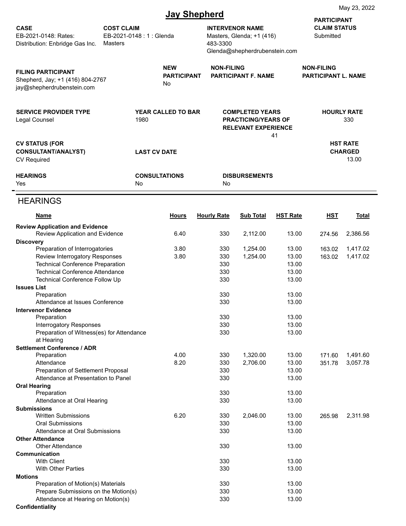|                                                                                             |                              | <b>Jay Shepherd</b>                                                                                                         |                    |                                                                                                                                       | May 23, 2022    |                                                                              |                      |  |
|---------------------------------------------------------------------------------------------|------------------------------|-----------------------------------------------------------------------------------------------------------------------------|--------------------|---------------------------------------------------------------------------------------------------------------------------------------|-----------------|------------------------------------------------------------------------------|----------------------|--|
| <b>CASE</b><br>EB-2021-0148: Rates:<br>Distribution: Enbridge Gas Inc.                      | <b>COST CLAIM</b><br>Masters | <b>INTERVENOR NAME</b><br>EB-2021-0148: 1: Glenda<br>Masters, Glenda; +1 (416)<br>483-3300<br>Glenda@shepherdrubenstein.com |                    |                                                                                                                                       |                 | <b>PARTICIPANT</b><br><b>CLAIM STATUS</b><br>Submitted                       |                      |  |
| <b>FILING PARTICIPANT</b><br>Shepherd, Jay; +1 (416) 804-2767<br>jay@shepherdrubenstein.com |                              | <b>NEW</b><br><b>PARTICIPANT</b><br>No                                                                                      |                    | <b>NON-FILING</b><br><b>PARTICIPANT F. NAME</b><br><b>COMPLETED YEARS</b><br><b>PRACTICING/YEARS OF</b><br><b>RELEVANT EXPERIENCE</b> |                 | <b>NON-FILING</b><br><b>PARTICIPANT L. NAME</b><br><b>HOURLY RATE</b><br>330 |                      |  |
| <b>SERVICE PROVIDER TYPE</b><br>Legal Counsel                                               |                              | <b>YEAR CALLED TO BAR</b><br>1980                                                                                           |                    |                                                                                                                                       |                 |                                                                              |                      |  |
| <b>CV STATUS (FOR</b><br><b>CONSULTANT/ANALYST)</b><br><b>CV Required</b>                   | 41<br><b>LAST CV DATE</b>    |                                                                                                                             |                    | <b>HST RATE</b><br><b>CHARGED</b><br>13.00                                                                                            |                 |                                                                              |                      |  |
| <b>HEARINGS</b><br>Yes                                                                      |                              | <b>CONSULTATIONS</b><br>No                                                                                                  | No                 | <b>DISBURSEMENTS</b>                                                                                                                  |                 |                                                                              |                      |  |
| <b>HEARINGS</b>                                                                             |                              |                                                                                                                             |                    |                                                                                                                                       |                 |                                                                              |                      |  |
| <u>Name</u>                                                                                 |                              | <b>Hours</b>                                                                                                                | <b>Hourly Rate</b> | <b>Sub Total</b>                                                                                                                      | <b>HST Rate</b> | <b>HST</b>                                                                   | <u>Total</u>         |  |
| <b>Review Application and Evidence</b><br>Review Application and Evidence                   |                              | 6.40                                                                                                                        | 330                | 2,112.00                                                                                                                              | 13.00           | 274.56                                                                       | 2,386.56             |  |
| <b>Discovery</b>                                                                            |                              | 3.80                                                                                                                        | 330                |                                                                                                                                       | 13.00           | 163.02                                                                       |                      |  |
| Preparation of Interrogatories<br>Review Interrogatory Responses                            |                              | 3.80                                                                                                                        | 330                | 1,254.00<br>1,254.00                                                                                                                  | 13.00           | 163.02                                                                       | 1,417.02<br>1,417.02 |  |
| <b>Technical Conference Preparation</b>                                                     |                              |                                                                                                                             | 330                |                                                                                                                                       | 13.00           |                                                                              |                      |  |
| <b>Technical Conference Attendance</b>                                                      |                              |                                                                                                                             | 330                |                                                                                                                                       | 13.00           |                                                                              |                      |  |
| <b>Technical Conference Follow Up</b>                                                       |                              |                                                                                                                             | 330                |                                                                                                                                       | 13.00           |                                                                              |                      |  |
| <b>Issues List</b><br>Preparation                                                           |                              |                                                                                                                             | 330                |                                                                                                                                       | 13.00           |                                                                              |                      |  |
| Attendance at Issues Conference                                                             |                              |                                                                                                                             | 330                |                                                                                                                                       | 13.00           |                                                                              |                      |  |
| <b>Intervenor Evidence</b>                                                                  |                              |                                                                                                                             |                    |                                                                                                                                       |                 |                                                                              |                      |  |
| Preparation                                                                                 |                              |                                                                                                                             | 330                |                                                                                                                                       | 13.00           |                                                                              |                      |  |
| <b>Interrogatory Responses</b>                                                              |                              |                                                                                                                             | 330                |                                                                                                                                       | 13.00           |                                                                              |                      |  |
| Preparation of Witness(es) for Attendance<br>at Hearing                                     |                              |                                                                                                                             | 330                |                                                                                                                                       | 13.00           |                                                                              |                      |  |
| <b>Settlement Conference / ADR</b>                                                          |                              |                                                                                                                             |                    |                                                                                                                                       |                 |                                                                              |                      |  |
| Preparation                                                                                 |                              | 4.00                                                                                                                        | 330                | 1,320.00                                                                                                                              | 13.00           | 171.60                                                                       | 1,491.60             |  |
| Attendance                                                                                  |                              | 8.20                                                                                                                        | 330                | 2,706.00                                                                                                                              | 13.00           | 351.78                                                                       | 3,057.78             |  |
| Preparation of Settlement Proposal<br>Attendance at Presentation to Panel                   |                              |                                                                                                                             | 330<br>330         |                                                                                                                                       | 13.00<br>13.00  |                                                                              |                      |  |
| <b>Oral Hearing</b>                                                                         |                              |                                                                                                                             |                    |                                                                                                                                       |                 |                                                                              |                      |  |
| Preparation                                                                                 |                              |                                                                                                                             | 330                |                                                                                                                                       | 13.00           |                                                                              |                      |  |
| Attendance at Oral Hearing                                                                  |                              |                                                                                                                             | 330                |                                                                                                                                       | 13.00           |                                                                              |                      |  |
| <b>Submissions</b><br><b>Written Submissions</b>                                            |                              | 6.20                                                                                                                        | 330                | 2,046.00                                                                                                                              | 13.00           | 265.98                                                                       | 2,311.98             |  |
| <b>Oral Submissions</b>                                                                     |                              |                                                                                                                             | 330                |                                                                                                                                       | 13.00           |                                                                              |                      |  |
| Attendance at Oral Submissions                                                              |                              |                                                                                                                             | 330                |                                                                                                                                       | 13.00           |                                                                              |                      |  |
| <b>Other Attendance</b>                                                                     |                              |                                                                                                                             |                    |                                                                                                                                       |                 |                                                                              |                      |  |
| <b>Other Attendance</b><br>Communication                                                    |                              |                                                                                                                             | 330                |                                                                                                                                       | 13.00           |                                                                              |                      |  |
| <b>With Client</b>                                                                          |                              |                                                                                                                             | 330                |                                                                                                                                       | 13.00           |                                                                              |                      |  |
| <b>With Other Parties</b>                                                                   |                              |                                                                                                                             | 330                |                                                                                                                                       | 13.00           |                                                                              |                      |  |
| <b>Motions</b>                                                                              |                              |                                                                                                                             |                    |                                                                                                                                       |                 |                                                                              |                      |  |
| Preparation of Motion(s) Materials                                                          |                              |                                                                                                                             | 330                |                                                                                                                                       | 13.00           |                                                                              |                      |  |
| Prepare Submissions on the Motion(s)                                                        |                              |                                                                                                                             | 330                |                                                                                                                                       | 13.00           |                                                                              |                      |  |
| Attendance at Hearing on Motion(s)<br><b>Confidentiality</b>                                |                              |                                                                                                                             | 330                |                                                                                                                                       | 13.00           |                                                                              |                      |  |

May 23, 2022